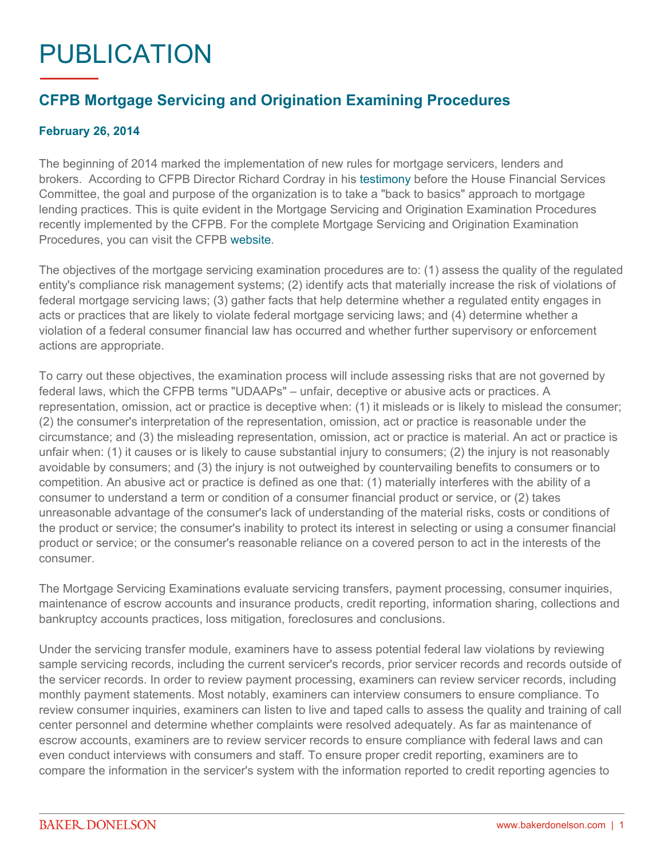## PUBLICATION

## **CFPB Mortgage Servicing and Origination Examining Procedures**

## **February 26, 2014**

The beginning of 2014 marked the implementation of new rules for mortgage servicers, lenders and brokers. According to CFPB Director Richard Cordray in his [testimony](http://www.consumerfinance.gov/newsroom/written-testimony-of-cfpb-director-richard-cordray-before-the-house-committee-on-financial-services/) before the House Financial Services Committee, the goal and purpose of the organization is to take a "back to basics" approach to mortgage lending practices. This is quite evident in the Mortgage Servicing and Origination Examination Procedures recently implemented by the CFPB. For the complete Mortgage Servicing and Origination Examination Procedures, you can visit the CFPB [website.](http://www.consumerfinance.gov/guidance/supervision/manual/)

The objectives of the mortgage servicing examination procedures are to: (1) assess the quality of the regulated entity's compliance risk management systems; (2) identify acts that materially increase the risk of violations of federal mortgage servicing laws; (3) gather facts that help determine whether a regulated entity engages in acts or practices that are likely to violate federal mortgage servicing laws; and (4) determine whether a violation of a federal consumer financial law has occurred and whether further supervisory or enforcement actions are appropriate.

To carry out these objectives, the examination process will include assessing risks that are not governed by federal laws, which the CFPB terms "UDAAPs" – unfair, deceptive or abusive acts or practices. A representation, omission, act or practice is deceptive when: (1) it misleads or is likely to mislead the consumer; (2) the consumer's interpretation of the representation, omission, act or practice is reasonable under the circumstance; and (3) the misleading representation, omission, act or practice is material. An act or practice is unfair when: (1) it causes or is likely to cause substantial injury to consumers; (2) the injury is not reasonably avoidable by consumers; and (3) the injury is not outweighed by countervailing benefits to consumers or to competition. An abusive act or practice is defined as one that: (1) materially interferes with the ability of a consumer to understand a term or condition of a consumer financial product or service, or (2) takes unreasonable advantage of the consumer's lack of understanding of the material risks, costs or conditions of the product or service; the consumer's inability to protect its interest in selecting or using a consumer financial product or service; or the consumer's reasonable reliance on a covered person to act in the interests of the consumer.

The Mortgage Servicing Examinations evaluate servicing transfers, payment processing, consumer inquiries, maintenance of escrow accounts and insurance products, credit reporting, information sharing, collections and bankruptcy accounts practices, loss mitigation, foreclosures and conclusions.

Under the servicing transfer module, examiners have to assess potential federal law violations by reviewing sample servicing records, including the current servicer's records, prior servicer records and records outside of the servicer records. In order to review payment processing, examiners can review servicer records, including monthly payment statements. Most notably, examiners can interview consumers to ensure compliance. To review consumer inquiries, examiners can listen to live and taped calls to assess the quality and training of call center personnel and determine whether complaints were resolved adequately. As far as maintenance of escrow accounts, examiners are to review servicer records to ensure compliance with federal laws and can even conduct interviews with consumers and staff. To ensure proper credit reporting, examiners are to compare the information in the servicer's system with the information reported to credit reporting agencies to